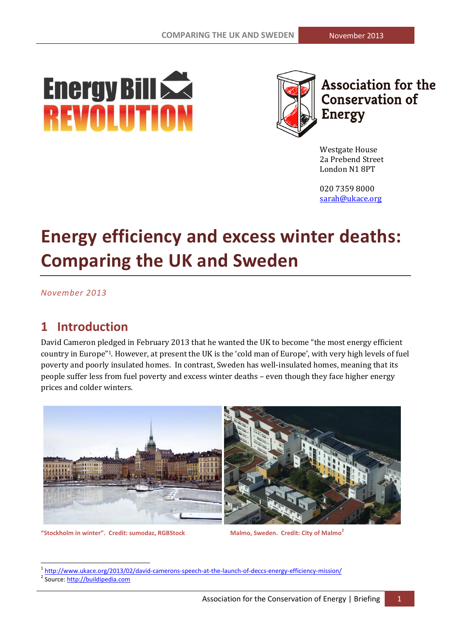# **Energy Bill School REVOLUTION**



**Association for the Conservation of Energy** 

Westgate House 2a Prebend Street London N1 8PT

020 7359 8000 [sarah@ukace.org](mailto:pedro@ukace.org)

## **Energy efficiency and excess winter deaths: Comparing the UK and Sweden**

*November 2013*

## **1 Introduction**

David Cameron pledged in February 2013 that he wanted the UK to become "the most energy efficient country in Europe"1. However, at present the UK is the 'cold man of Europe', with very high levels of fuel poverty and poorly insulated homes. In contrast, Sweden has well-insulated homes, meaning that its people suffer less from fuel poverty and excess winter deaths – even though they face higher energy prices and colder winters.



**"Stockholm in winter". Credit: sumodaz, RGBStock Malmo, Sweden. Credit: City of Malmo<sup>2</sup>**

<u>.</u>

<sup>&</sup>lt;sup>1</sup> <http://www.ukace.org/2013/02/david-camerons-speech-at-the-launch-of-deccs-energy-efficiency-mission/>

<sup>&</sup>lt;sup>2</sup> Source: http://buildipedia.com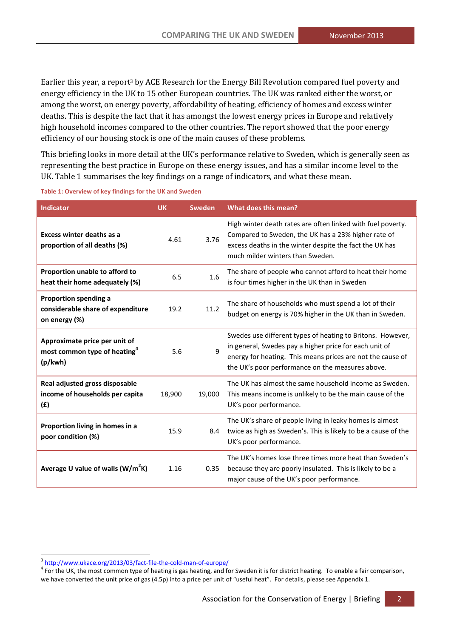Earlier this year, a report<sup>3</sup> by ACE Research for the Energy Bill Revolution compared fuel poverty and energy efficiency in the UK to 15 other European countries. The UK was ranked either the worst, or among the worst, on energy poverty, affordability of heating, efficiency of homes and excess winter deaths. This is despite the fact that it has amongst the lowest energy prices in Europe and relatively high household incomes compared to the other countries. The report showed that the poor energy efficiency of our housing stock is one of the main causes of these problems.

This briefing looks in more detail at the UK's performance relative to Sweden, which is generally seen as representing the best practice in Europe on these energy issues, and has a similar income level to the UK[. Table 1](#page-1-0) summarises the key findings on a range of indicators, and what these mean.

| <b>Indicator</b>                                                                     | <b>UK</b> | <b>Sweden</b> | What does this mean?                                                                                                                                                                                                                   |  |
|--------------------------------------------------------------------------------------|-----------|---------------|----------------------------------------------------------------------------------------------------------------------------------------------------------------------------------------------------------------------------------------|--|
| <b>Excess winter deaths as a</b><br>proportion of all deaths (%)                     | 4.61      | 3.76          | High winter death rates are often linked with fuel poverty.<br>Compared to Sweden, the UK has a 23% higher rate of<br>excess deaths in the winter despite the fact the UK has<br>much milder winters than Sweden.                      |  |
| Proportion unable to afford to<br>heat their home adequately (%)                     | 6.5       | 1.6           | The share of people who cannot afford to heat their home<br>is four times higher in the UK than in Sweden                                                                                                                              |  |
| Proportion spending a<br>considerable share of expenditure<br>on energy (%)          | 19.2      | 11.2          | The share of households who must spend a lot of their<br>budget on energy is 70% higher in the UK than in Sweden.                                                                                                                      |  |
| Approximate price per unit of<br>most common type of heating <sup>4</sup><br>(p/kwh) | 5.6       | 9             | Swedes use different types of heating to Britons. However,<br>in general, Swedes pay a higher price for each unit of<br>energy for heating. This means prices are not the cause of<br>the UK's poor performance on the measures above. |  |
| Real adjusted gross disposable<br>income of households per capita<br>(E)             | 18,900    | 19,000        | The UK has almost the same household income as Sweden.<br>This means income is unlikely to be the main cause of the<br>UK's poor performance.                                                                                          |  |
| Proportion living in homes in a<br>poor condition (%)                                | 15.9      | 8.4           | The UK's share of people living in leaky homes is almost<br>twice as high as Sweden's. This is likely to be a cause of the<br>UK's poor performance.                                                                                   |  |
| Average U value of walls (W/m <sup>2</sup> K)                                        | 1.16      | 0.35          | The UK's homes lose three times more heat than Sweden's<br>because they are poorly insulated. This is likely to be a<br>major cause of the UK's poor performance.                                                                      |  |

<span id="page-1-0"></span>**Table 1: Overview of key findings for the UK and Sweden**

<sup>3</sup> <http://www.ukace.org/2013/03/fact-file-the-cold-man-of-europe/>

<sup>&</sup>lt;sup>4</sup> For the UK, the most common type of heating is gas heating, and for Sweden it is for district heating. To enable a fair comparison, we have converted the unit price of gas (4.5p) into a price per unit of "useful heat". For details, please see Appendix 1.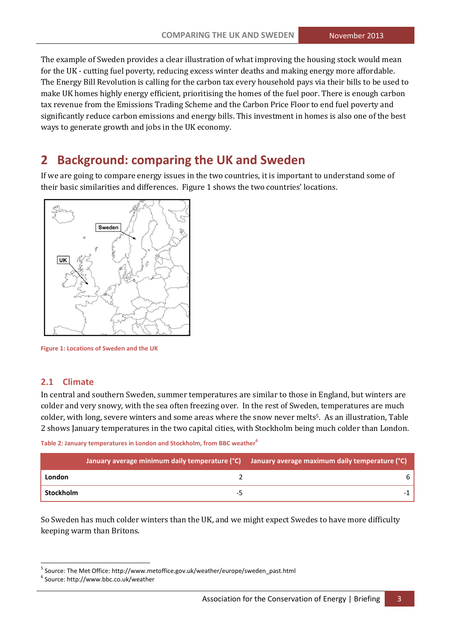The example of Sweden provides a clear illustration of what improving the housing stock would mean for the UK - cutting fuel poverty, reducing excess winter deaths and making energy more affordable. The Energy Bill Revolution is calling for the carbon tax every household pays via their bills to be used to make UK homes highly energy efficient, prioritising the homes of the fuel poor. There is enough carbon tax revenue from the Emissions Trading Scheme and the Carbon Price Floor to end fuel poverty and significantly reduce carbon emissions and energy bills. This investment in homes is also one of the best ways to generate growth and jobs in the UK economy.

## **2 Background: comparing the UK and Sweden**

If we are going to compare energy issues in the two countries, it is important to understand some of their basic similarities and differences. Figure 1 shows the two countries' locations.



**Figure 1: Locations of Sweden and the UK**

## **2.1 Climate**

In central and southern Sweden, summer temperatures are similar to those in England, but winters are colder and very snowy, with the sea often freezing over. In the rest of Sweden, temperatures are much colder, with long, severe winters and some areas where the snow never melts<sup>5</sup>. As an illustration, Table [2](#page-2-0) shows January temperatures in the two capital cities, with Stockholm being much colder than London.

<span id="page-2-0"></span>**Table 2: January temperatures in London and Stockholm, from BBC weather<sup>6</sup>**

|           | January average minimum daily temperature (°C) January average maximum daily temperature (°C) |   |
|-----------|-----------------------------------------------------------------------------------------------|---|
| London    |                                                                                               | h |
| Stockholm |                                                                                               |   |

So Sweden has much colder winters than the UK, and we might expect Swedes to have more difficulty keeping warm than Britons.

<u>.</u>

<sup>5</sup> Source: The Met Office[: http://www.metoffice.gov.uk/weather/europe/sweden\\_past.html](http://www.metoffice.gov.uk/weather/europe/sweden_past.html)

<sup>6</sup> Source[: http://www.bbc.co.uk/weather](http://www.bbc.co.uk/weather)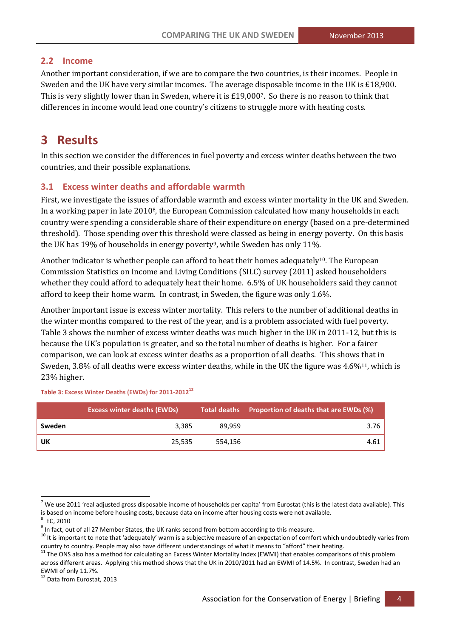## **2.2 Income**

Another important consideration, if we are to compare the two countries, is their incomes. People in Sweden and the UK have very similar incomes. The average disposable income in the UK is £18,900. This is very slightly lower than in Sweden, where it is £19,0007. So there is no reason to think that differences in income would lead one country's citizens to struggle more with heating costs.

## **3 Results**

In this section we consider the differences in fuel poverty and excess winter deaths between the two countries, and their possible explanations.

## **3.1 Excess winter deaths and affordable warmth**

First, we investigate the issues of affordable warmth and excess winter mortality in the UK and Sweden. In a working paper in late 20108, the European Commission calculated how many households in each country were spending a considerable share of their expenditure on energy (based on a pre-determined threshold). Those spending over this threshold were classed as being in energy poverty. On this basis the UK has 19% of households in energy poverty<sup>9</sup>, while Sweden has only 11%.

Another indicator is whether people can afford to heat their homes adequately<sup>10</sup>. The European Commission Statistics on Income and Living Conditions (SILC) survey (2011) asked householders whether they could afford to adequately heat their home. 6.5% of UK householders said they cannot afford to keep their home warm. In contrast, in Sweden, the figure was only 1.6%.

Another important issue is excess winter mortality. This refers to the number of additional deaths in the winter months compared to the rest of the year, and is a problem associated with fuel poverty. [Table 3](#page-3-0) shows the number of excess winter deaths was much higher in the UK in 2011-12, but this is because the UK's population is greater, and so the total number of deaths is higher. For a fairer comparison, we can look at excess winter deaths as a proportion of all deaths. This shows that in Sweden, 3.8% of all deaths were excess winter deaths, while in the UK the figure was 4.6%<sup>11</sup>, which is 23% higher.

#### <span id="page-3-0"></span>**Table 3: Excess Winter Deaths (EWDs) for 2011-2012<sup>12</sup>**

|        | <b>Excess winter deaths (EWDs)</b> |         | Total deaths Proportion of deaths that are EWDs (%) |  |
|--------|------------------------------------|---------|-----------------------------------------------------|--|
| Sweden | 3.385                              | 89.959  | 3.76                                                |  |
| UK     | 25,535                             | 554.156 | 4.61                                                |  |

-

<sup>12</sup> Data from Eurostat, 2013

 $<sup>7</sup>$  We use 2011 'real adjusted gross disposable income of households per capita' from Eurostat (this is the latest data available). This</sup> is based on income before housing costs, because data on income after housing costs were not available.

 $8$  EC, 2010

 $^9$  In fact, out of all 27 Member States, the UK ranks second from bottom according to this measure.

 $10$  It is important to note that 'adequately' warm is a subjective measure of an expectation of comfort which undoubtedly varies from country to country. People may also have different understandings of what it means to "afford" their heating.

 $11$  The ONS also has a method for calculating an Excess Winter Mortality Index (EWMI) that enables comparisons of this problem across different areas. Applying this method shows that the UK in 2010/2011 had an EWMI of 14.5%. In contrast, Sweden had an EWMI of only 11.7%.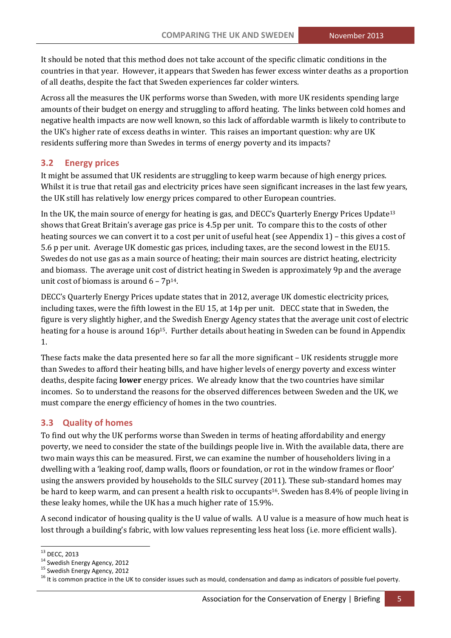It should be noted that this method does not take account of the specific climatic conditions in the countries in that year. However, it appears that Sweden has fewer excess winter deaths as a proportion of all deaths, despite the fact that Sweden experiences far colder winters.

Across all the measures the UK performs worse than Sweden, with more UK residents spending large amounts of their budget on energy and struggling to afford heating. The links between cold homes and negative health impacts are now well known, so this lack of affordable warmth is likely to contribute to the UK's higher rate of excess deaths in winter. This raises an important question: why are UK residents suffering more than Swedes in terms of energy poverty and its impacts?

#### **3.2 Energy prices**

It might be assumed that UK residents are struggling to keep warm because of high energy prices. Whilst it is true that retail gas and electricity prices have seen significant increases in the last few years, the UK still has relatively low energy prices compared to other European countries.

In the UK, the main source of energy for heating is gas, and DECC's Quarterly Energy Prices Update<sup>13</sup> shows that Great Britain's average gas price is 4.5p per unit. To compare this to the costs of other heating sources we can convert it to a cost per unit of useful heat (see Appendix 1) – this gives a cost of 5.6 p per unit. Average UK domestic gas prices, including taxes, are the second lowest in the EU15. Swedes do not use gas as a main source of heating; their main sources are district heating, electricity and biomass. The average unit cost of district heating in Sweden is approximately 9p and the average unit cost of biomass is around  $6 - 7p^{14}$ .

DECC's Quarterly Energy Prices update states that in 2012, average UK domestic electricity prices, including taxes, were the fifth lowest in the EU 15, at 14p per unit. DECC state that in Sweden, the figure is very slightly higher, and the Swedish Energy Agency states that the average unit cost of electric heating for a house is around 16p<sup>15</sup>. Further details about heating in Sweden can be found in Appendix 1.

These facts make the data presented here so far all the more significant – UK residents struggle more than Swedes to afford their heating bills, and have higher levels of energy poverty and excess winter deaths, despite facing **lower** energy prices. We already know that the two countries have similar incomes. So to understand the reasons for the observed differences between Sweden and the UK, we must compare the energy efficiency of homes in the two countries.

## **3.3 Quality of homes**

To find out why the UK performs worse than Sweden in terms of heating affordability and energy poverty, we need to consider the state of the buildings people live in. With the available data, there are two main ways this can be measured. First, we can examine the number of householders living in a dwelling with a 'leaking roof, damp walls, floors or foundation, or rot in the window frames or floor' using the answers provided by households to the SILC survey (2011). These sub-standard homes may be hard to keep warm, and can present a health risk to occupants<sup>16</sup>. Sweden has 8.4% of people living in these leaky homes, while the UK has a much higher rate of 15.9%.

A second indicator of housing quality is the U value of walls. A U value is a measure of how much heat is lost through a building's fabric, with low values representing less heat loss (i.e. more efficient walls).

.<br>-

<sup>&</sup>lt;sup>13</sup> DECC, 2013

<sup>&</sup>lt;sup>14</sup> Swedish Energy Agency, 2012

<sup>&</sup>lt;sup>15</sup> Swedish Energy Agency, 2012

 $16$  It is common practice in the UK to consider issues such as mould, condensation and damp as indicators of possible fuel poverty.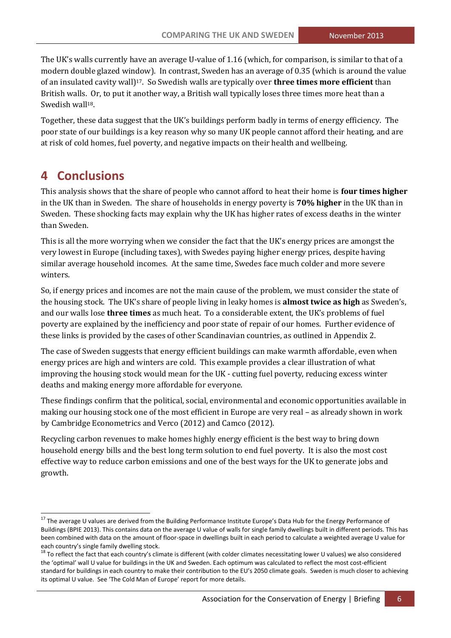The UK's walls currently have an average U-value of 1.16 (which, for comparison, is similar to that of a modern double glazed window). In contrast, Sweden has an average of 0.35 (which is around the value of an insulated cavity wall)17. So Swedish walls are typically over **three times more efficient** than British walls. Or, to put it another way, a British wall typically loses three times more heat than a Swedish wall<sup>18</sup>.

Together, these data suggest that the UK's buildings perform badly in terms of energy efficiency. The poor state of our buildings is a key reason why so many UK people cannot afford their heating, and are at risk of cold homes, fuel poverty, and negative impacts on their health and wellbeing.

## **4 Conclusions**

.<br>-

This analysis shows that the share of people who cannot afford to heat their home is **four times higher** in the UK than in Sweden. The share of households in energy poverty is **70% higher** in the UK than in Sweden. These shocking facts may explain why the UK has higher rates of excess deaths in the winter than Sweden.

This is all the more worrying when we consider the fact that the UK's energy prices are amongst the very lowest in Europe (including taxes), with Swedes paying higher energy prices, despite having similar average household incomes. At the same time, Swedes face much colder and more severe winters.

So, if energy prices and incomes are not the main cause of the problem, we must consider the state of the housing stock. The UK's share of people living in leaky homes is **almost twice as high** as Sweden's, and our walls lose **three times** as much heat. To a considerable extent, the UK's problems of fuel poverty are explained by the inefficiency and poor state of repair of our homes. Further evidence of these links is provided by the cases of other Scandinavian countries, as outlined in Appendix 2.

The case of Sweden suggests that energy efficient buildings can make warmth affordable, even when energy prices are high and winters are cold. This example provides a clear illustration of what improving the housing stock would mean for the UK - cutting fuel poverty, reducing excess winter deaths and making energy more affordable for everyone.

These findings confirm that the political, social, environmental and economic opportunities available in making our housing stock one of the most efficient in Europe are very real – as already shown in work by Cambridge Econometrics and Verco (2012) and Camco (2012).

Recycling carbon revenues to make homes highly energy efficient is the best way to bring down household energy bills and the best long term solution to end fuel poverty. It is also the most cost effective way to reduce carbon emissions and one of the best ways for the UK to generate jobs and growth.

<sup>&</sup>lt;sup>17</sup> The average U values are derived from the Building Performance Institute Europe's Data Hub for the Energy Performance of Buildings (BPIE 2013). This contains data on the average U value of walls for single family dwellings built in different periods. This has been combined with data on the amount of floor-space in dwellings built in each period to calculate a weighted average U value for each country's single family dwelling stock.

 $18$  To reflect the fact that each country's climate is different (with colder climates necessitating lower U values) we also considered the 'optimal' wall U value for buildings in the UK and Sweden. Each optimum was calculated to reflect the most cost-efficient standard for buildings in each country to make their contribution to the EU's 2050 climate goals. Sweden is much closer to achieving its optimal U value. See 'The Cold Man of Europe' report for more details.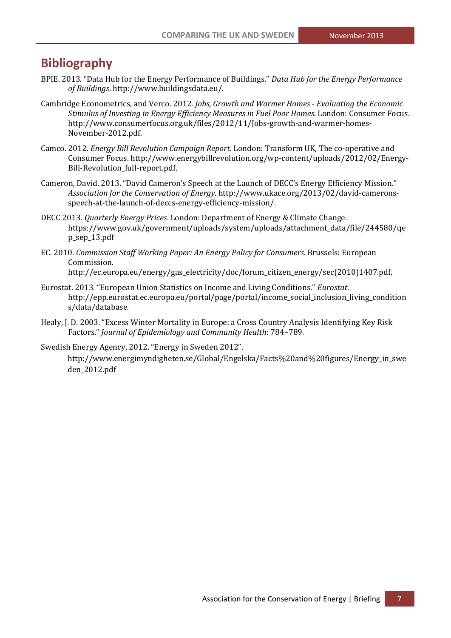## **Bibliography**

- BPIE. 2013. "Data Hub for the Energy Performance of Buildings." *Data Hub for the Energy Performance of Buildings*. http://www.buildingsdata.eu/.
- Cambridge Econometrics, and Verco. 2012. *Jobs, Growth and Warmer Homes - Evaluating the Economic Stimulus of Investing in Energy Efficiency Measures in Fuel Poor Homes*. London: Consumer Focus. http://www.consumerfocus.org.uk/files/2012/11/Jobs-growth-and-warmer-homes-November-2012.pdf.
- Camco. 2012. *Energy Bill Revolution Campaign Report*. London: Transform UK, The co-operative and Consumer Focus. http://www.energybillrevolution.org/wp-content/uploads/2012/02/Energy-Bill-Revolution\_full-report.pdf.
- Cameron, David. 2013. "David Cameron's Speech at the Launch of DECC's Energy Efficiency Mission." *Association for the Conservation of Energy*. http://www.ukace.org/2013/02/david-cameronsspeech-at-the-launch-of-deccs-energy-efficiency-mission/.
- DECC 2013. *Quarterly Energy Prices*. London: Department of Energy & Climate Change. [https://www.gov.uk/government/uploads/system/uploads/attachment\\_data/file/244580/qe](https://www.gov.uk/government/uploads/system/uploads/attachment_data/file/244580/qep_sep_13.pdf) [p\\_sep\\_13.pdf](https://www.gov.uk/government/uploads/system/uploads/attachment_data/file/244580/qep_sep_13.pdf)
- EC. 2010. *Commission Staff Working Paper: An Energy Policy for Consumers*. Brussels: European Commission.

http://ec.europa.eu/energy/gas\_electricity/doc/forum\_citizen\_energy/sec(2010)1407.pdf.

- Eurostat. 2013. "European Union Statistics on Income and Living Conditions." *Eurostat*. http://epp.eurostat.ec.europa.eu/portal/page/portal/income\_social\_inclusion\_living\_condition s/data/database.
- Healy, J. D. 2003. "Excess Winter Mortality in Europe: a Cross Country Analysis Identifying Key Risk Factors." *Journal of Epidemiology and Community Health*: 784–789.

Swedish Energy Agency, 2012. "Energy in Sweden 2012".

[http://www.energimyndigheten.se/Global/Engelska/Facts%20and%20figures/Energy\\_in\\_swe](http://www.energimyndigheten.se/Global/Engelska/Facts%20and%20figures/Energy_in_sweden_2012.pdf) [den\\_2012.pdf](http://www.energimyndigheten.se/Global/Engelska/Facts%20and%20figures/Energy_in_sweden_2012.pdf)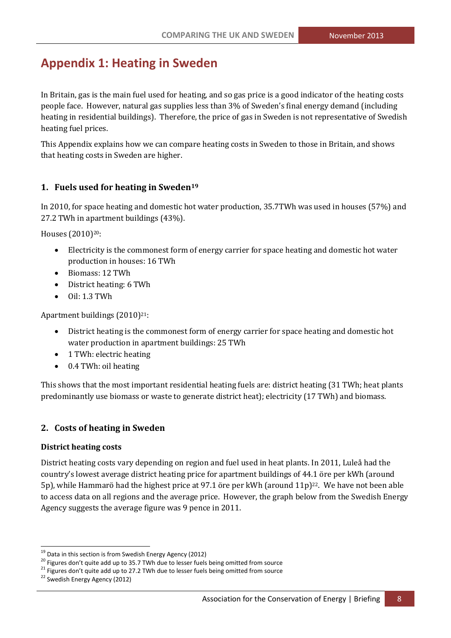## **Appendix 1: Heating in Sweden**

In Britain, gas is the main fuel used for heating, and so gas price is a good indicator of the heating costs people face. However, natural gas supplies less than 3% of Sweden's final energy demand (including heating in residential buildings). Therefore, the price of gas in Sweden is not representative of Swedish heating fuel prices.

This Appendix explains how we can compare heating costs in Sweden to those in Britain, and shows that heating costs in Sweden are higher.

## **1. Fuels used for heating in Sweden<sup>19</sup>**

In 2010, for space heating and domestic hot water production, 35.7TWh was used in houses (57%) and 27.2 TWh in apartment buildings (43%).

Houses (2010)<sup>20</sup>:

- Electricity is the commonest form of energy carrier for space heating and domestic hot water production in houses: 16 TWh
- Biomass: 12 TWh
- District heating: 6 TWh
- Oil: 1.3 TWh

Apartment buildings  $(2010)^{21}$ :

- District heating is the commonest form of energy carrier for space heating and domestic hot water production in apartment buildings: 25 TWh
- 1 TWh: electric heating
- 0.4 TWh: oil heating

This shows that the most important residential heating fuels are: district heating (31 TWh; heat plants predominantly use biomass or waste to generate district heat); electricity (17 TWh) and biomass.

## **2. Costs of heating in Sweden**

#### **District heating costs**

District heating costs vary depending on region and fuel used in heat plants. In 2011, Luleå had the country's lowest average district heating price for apartment buildings of 44.1 öre per kWh (around 5p), while Hammarö had the highest price at 97.1 öre per kWh (around  $11p$ )<sup>22</sup>. We have not been able to access data on all regions and the average price. However, the graph below from the Swedish Energy Agency suggests the average figure was 9 pence in 2011.

.<br>-

<sup>&</sup>lt;sup>19</sup> Data in this section is from Swedish Energy Agency (2012)

 $20$  Figures don't quite add up to 35.7 TWh due to lesser fuels being omitted from source

 $21$  Figures don't quite add up to 27.2 TWh due to lesser fuels being omitted from source

<sup>&</sup>lt;sup>22</sup> Swedish Energy Agency (2012)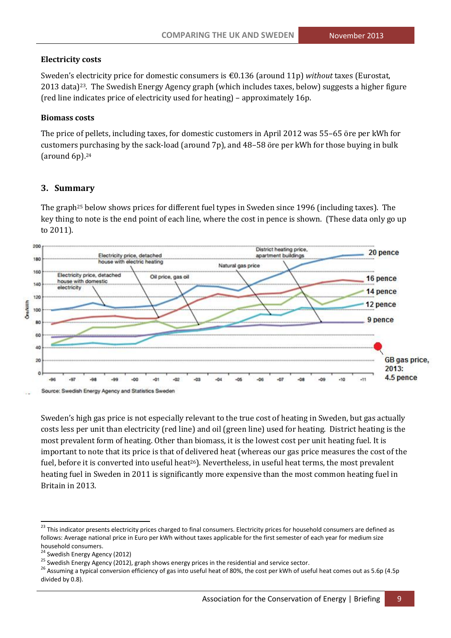#### **Electricity costs**

Sweden's electricity price for domestic consumers is €0.136 (around 11p) *without* taxes (Eurostat, 2013 data)23. The Swedish Energy Agency graph (which includes taxes, below) suggests a higher figure (red line indicates price of electricity used for heating) – approximately 16p.

#### **Biomass costs**

The price of pellets, including taxes, for domestic customers in April 2012 was 55–65 öre per kWh for customers purchasing by the sack-load (around 7p), and 48–58 öre per kWh for those buying in bulk (around 6p).<sup>24</sup>

#### **3. Summary**

The graph<sup>25</sup> below shows prices for different fuel types in Sweden since 1996 (including taxes). The key thing to note is the end point of each line, where the cost in pence is shown. (These data only go up to 2011).



Sweden's high gas price is not especially relevant to the true cost of heating in Sweden, but gas actually costs less per unit than electricity (red line) and oil (green line) used for heating. District heating is the most prevalent form of heating. Other than biomass, it is the lowest cost per unit heating fuel. It is important to note that its price is that of delivered heat (whereas our gas price measures the cost of the fuel, before it is converted into useful heat<sup>26</sup>). Nevertheless, in useful heat terms, the most prevalent heating fuel in Sweden in 2011 is significantly more expensive than the most common heating fuel in Britain in 2013.

.<br>-

<sup>&</sup>lt;sup>23</sup> This indicator presents electricity prices charged to final consumers. Electricity prices for household consumers are defined as follows: Average national price in Euro per kWh without taxes applicable for the first semester of each year for medium size household consumers.

<sup>&</sup>lt;sup>24</sup> Swedish Energy Agency (2012)

<sup>&</sup>lt;sup>25</sup> Swedish Energy Agency (2012), graph shows energy prices in the residential and service sector.

<sup>&</sup>lt;sup>26</sup> Assuming a typical conversion efficiency of gas into useful heat of 80%, the cost per kWh of useful heat comes out as 5.6p (4.5p divided by 0.8).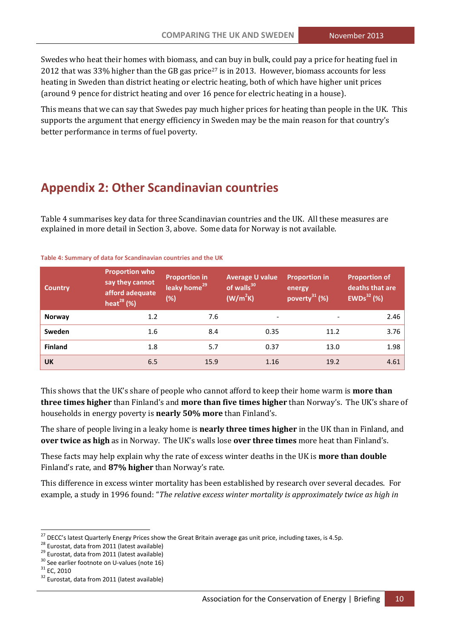Swedes who heat their homes with biomass, and can buy in bulk, could pay a price for heating fuel in 2012 that was 33% higher than the GB gas price<sup>27</sup> is in 2013. However, biomass accounts for less heating in Sweden than district heating or electric heating, both of which have higher unit prices (around 9 pence for district heating and over 16 pence for electric heating in a house).

This means that we can say that Swedes pay much higher prices for heating than people in the UK. This supports the argument that energy efficiency in Sweden may be the main reason for that country's better performance in terms of fuel poverty.

## **Appendix 2: Other Scandinavian countries**

[Table 4](#page-9-0) summarises key data for three Scandinavian countries and the UK. All these measures are explained in more detail in Section 3, above. Some data for Norway is not available.

#### <span id="page-9-0"></span>**Table 4: Summary of data for Scandinavian countries and the UK**

| <b>Country</b> | <b>Proportion who</b><br>say they cannot<br>afford adequate<br>heat <sup>28</sup> $(%)$ | <b>Proportion in</b><br>leaky home <sup>29</sup><br>(%) | <b>Average U value</b><br>of walls <sup>30</sup><br>(W/m <sup>2</sup> K) | <b>Proportion in</b><br>energy<br>poverty $31$ (%) | <b>Proportion of</b><br>deaths that are<br>EWDs <sup>32</sup> (%) |
|----------------|-----------------------------------------------------------------------------------------|---------------------------------------------------------|--------------------------------------------------------------------------|----------------------------------------------------|-------------------------------------------------------------------|
| <b>Norway</b>  | 1.2                                                                                     | 7.6                                                     | $\overline{\phantom{a}}$                                                 |                                                    | 2.46                                                              |
| Sweden         | 1.6                                                                                     | 8.4                                                     | 0.35                                                                     | 11.2                                               | 3.76                                                              |
| <b>Finland</b> | 1.8                                                                                     | 5.7                                                     | 0.37                                                                     | 13.0                                               | 1.98                                                              |
| <b>UK</b>      | 6.5                                                                                     | 15.9                                                    | 1.16                                                                     | 19.2                                               | 4.61                                                              |

This shows that the UK's share of people who cannot afford to keep their home warm is **more than three times higher** than Finland's and **more than five times higher** than Norway's. The UK's share of households in energy poverty is **nearly 50% more** than Finland's.

The share of people living in a leaky home is **nearly three times higher** in the UK than in Finland, and **over twice as high** as in Norway. The UK's walls lose **over three times** more heat than Finland's.

These facts may help explain why the rate of excess winter deaths in the UK is **more than double**  Finland's rate, and **87% higher** than Norway's rate.

This difference in excess winter mortality has been established by research over several decades. For example, a study in 1996 found: "*The relative excess winter mortality is approximately twice as high in* 

-

<sup>&</sup>lt;sup>27</sup> DECC's latest Quarterly Energy Prices show the Great Britain average gas unit price, including taxes, is 4.5p.

<sup>&</sup>lt;sup>28</sup> Eurostat, data from 2011 (latest available)

<sup>&</sup>lt;sup>29</sup> Eurostat, data from 2011 (latest available)

<sup>&</sup>lt;sup>30</sup> See earlier footnote on U-values (note 16)

 $31$  EC, 2010

<sup>&</sup>lt;sup>32</sup> Eurostat, data from 2011 (latest available)